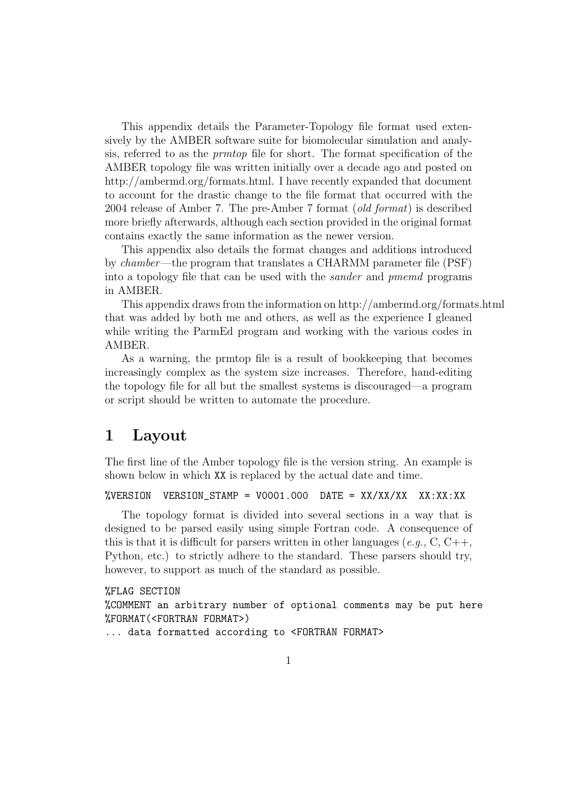This appendix details the Parameter-Topology file format used extensively by the AMBER software suite for biomolecular simulation and analysis, referred to as the prmtop file for short. The format specification of the AMBER topology file was written initially over a decade ago and posted on http://ambermd.org/formats.html. I have recently expanded that document to account for the drastic change to the file format that occurred with the 2004 release of Amber 7. The pre-Amber 7 format (old format) is described more briefly afterwards, although each section provided in the original format contains exactly the same information as the newer version.

This appendix also details the format changes and additions introduced by chamber—the program that translates a CHARMM parameter file (PSF) into a topology file that can be used with the sander and pmemd programs in AMBER.

This appendix draws from the information on http://ambermd.org/formats.html that was added by both me and others, as well as the experience I gleaned while writing the ParmEd program and working with the various codes in AMBER.

As a warning, the prmtop file is a result of bookkeeping that becomes increasingly complex as the system size increases. Therefore, hand-editing the topology file for all but the smallest systems is discouraged—a program or script should be written to automate the procedure.

# 1 Layout

The first line of the Amber topology file is the version string. An example is shown below in which XX is replaced by the actual date and time.

```
\%VERSION VERSION_STAMP = V0001.000 DATE = XX/XX/XX XX:XX:XX
```
The topology format is divided into several sections in a way that is designed to be parsed easily using simple Fortran code. A consequence of this is that it is difficult for parsers written in other languages (e.g.,  $C, C++,$ Python, etc.) to strictly adhere to the standard. These parsers should try, however, to support as much of the standard as possible.

#### %FLAG SECTION

%COMMENT an arbitrary number of optional comments may be put here %FORMAT(<FORTRAN FORMAT>)

... data formatted according to <FORTRAN FORMAT>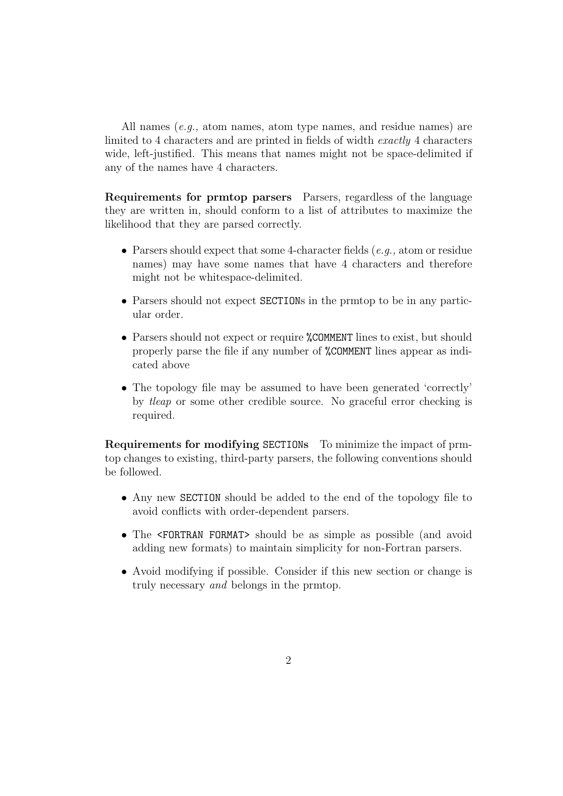All names (e.g., atom names, atom type names, and residue names) are limited to 4 characters and are printed in fields of width exactly 4 characters wide, left-justified. This means that names might not be space-delimited if any of the names have 4 characters.

Requirements for prmtop parsers Parsers, regardless of the language they are written in, should conform to a list of attributes to maximize the likelihood that they are parsed correctly.

- Parsers should expect that some 4-character fields  $(e, q, \alpha)$ , atom or residue names) may have some names that have 4 characters and therefore might not be whitespace-delimited.
- Parsers should not expect SECTIONs in the prmtop to be in any particular order.
- Parsers should not expect or require **%COMMENT** lines to exist, but should properly parse the file if any number of %COMMENT lines appear as indicated above
- The topology file may be assumed to have been generated 'correctly' by tleap or some other credible source. No graceful error checking is required.

Requirements for modifying SECTIONs To minimize the impact of prmtop changes to existing, third-party parsers, the following conventions should be followed.

- Any new SECTION should be added to the end of the topology file to avoid conflicts with order-dependent parsers.
- The <FORTRAN FORMAT> should be as simple as possible (and avoid adding new formats) to maintain simplicity for non-Fortran parsers.
- Avoid modifying if possible. Consider if this new section or change is truly necessary and belongs in the prmtop.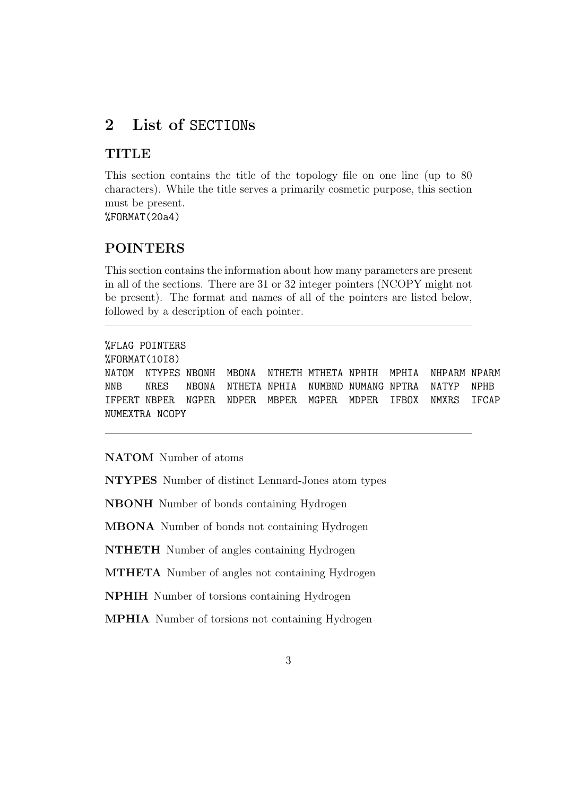# 2 List of SECTIONs

# **TITLE**

This section contains the title of the topology file on one line (up to 80 characters). While the title serves a primarily cosmetic purpose, this section must be present.

%FORMAT(20a4)

### POINTERS

This section contains the information about how many parameters are present in all of the sections. There are 31 or 32 integer pointers (NCOPY might not be present). The format and names of all of the pointers are listed below, followed by a description of each pointer.

```
%FLAG POINTERS
%FORMAT(10I8)
NATOM NTYPES NBONH MBONA NTHETH MTHETA NPHIH MPHIA NHPARM NPARM
NNB NRES NBONA NTHETA NPHIA NUMBND NUMANG NPTRA NATYP NPHB
IFPERT NBPER NGPER NDPER MBPER MGPER MDPER IFBOX NMXRS IFCAP
NUMEXTRA NCOPY
```
#### NATOM Number of atoms

NTYPES Number of distinct Lennard-Jones atom types

NBONH Number of bonds containing Hydrogen

MBONA Number of bonds not containing Hydrogen

NTHETH Number of angles containing Hydrogen

MTHETA Number of angles not containing Hydrogen

NPHIH Number of torsions containing Hydrogen

MPHIA Number of torsions not containing Hydrogen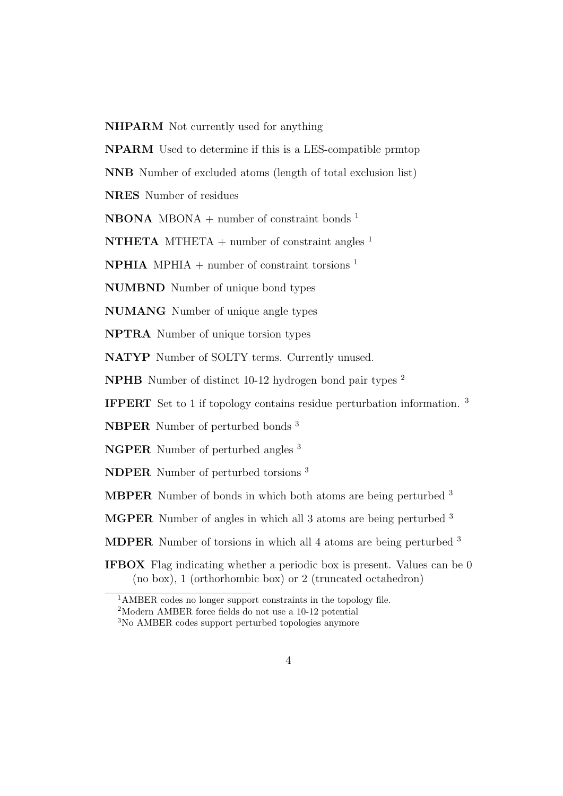NHPARM Not currently used for anything

NPARM Used to determine if this is a LES-compatible prmtop

NNB Number of excluded atoms (length of total exclusion list)

NRES Number of residues

**NBONA** MBONA + number of constraint bonds<sup>1</sup>

**NTHETA** MTHETA + number of constraint angles  $^1$ 

**NPHIA** MPHIA + number of constraint torsions  $1$ 

NUMBND Number of unique bond types

NUMANG Number of unique angle types

NPTRA Number of unique torsion types

NATYP Number of SOLTY terms. Currently unused.

NPHB Number of distinct 10-12 hydrogen bond pair types <sup>2</sup>

IFPERT Set to 1 if topology contains residue perturbation information. <sup>3</sup>

NBPER Number of perturbed bonds <sup>3</sup>

NGPER Number of perturbed angles <sup>3</sup>

NDPER Number of perturbed torsions <sup>3</sup>

MBPER Number of bonds in which both atoms are being perturbed <sup>3</sup>

MGPER Number of angles in which all 3 atoms are being perturbed <sup>3</sup>

MDPER Number of torsions in which all 4 atoms are being perturbed <sup>3</sup>

IFBOX Flag indicating whether a periodic box is present. Values can be 0 (no box), 1 (orthorhombic box) or 2 (truncated octahedron)

<sup>1</sup>AMBER codes no longer support constraints in the topology file.

<sup>2</sup>Modern AMBER force fields do not use a 10-12 potential

<sup>3</sup>No AMBER codes support perturbed topologies anymore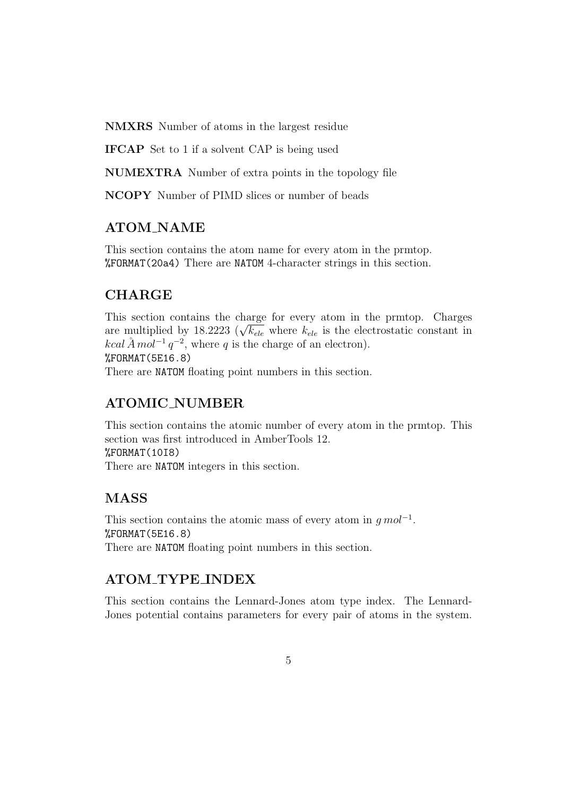NMXRS Number of atoms in the largest residue

IFCAP Set to 1 if a solvent CAP is being used

NUMEXTRA Number of extra points in the topology file

NCOPY Number of PIMD slices or number of beads

# ATOM\_NAME

This section contains the atom name for every atom in the prmtop. %FORMAT(20a4) There are NATOM 4-character strings in this section.

# CHARGE

This section contains the charge for every atom in the prmtop. Charges This section contains the charge for every atom in the printop. Charges are multiplied by 18.2223 ( $\sqrt{k_{ele}}$  where  $k_{ele}$  is the electrostatic constant in kcal  $\AA$  mol<sup>-1</sup>  $q^{-2}$ , where q is the charge of an electron). %FORMAT(5E16.8) There are NATOM floating point numbers in this section.

### ATOMIC NUMBER

This section contains the atomic number of every atom in the prmtop. This section was first introduced in AmberTools 12. %FORMAT(10I8) There are NATOM integers in this section.

# MASS

This section contains the atomic mass of every atom in  $g \, mol^{-1}$ . %FORMAT(5E16.8) There are NATOM floating point numbers in this section.

# ATOM TYPE INDEX

This section contains the Lennard-Jones atom type index. The Lennard-Jones potential contains parameters for every pair of atoms in the system.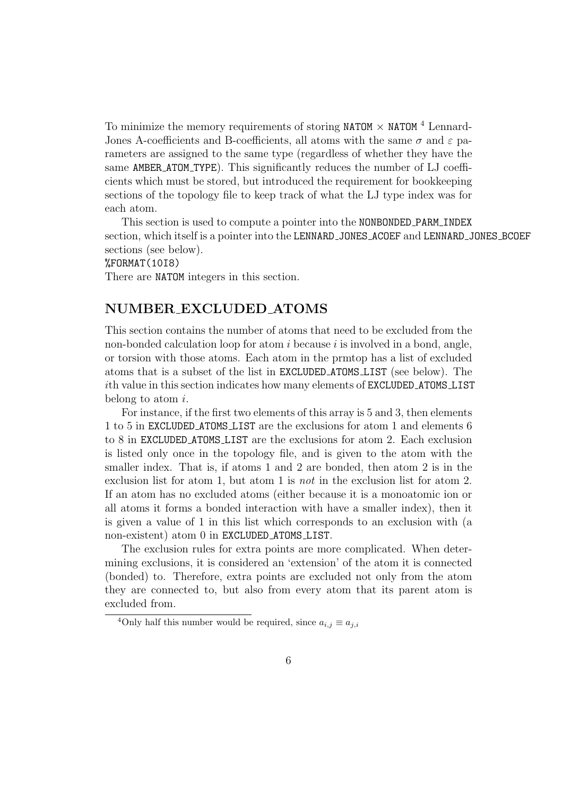To minimize the memory requirements of storing NATOM  $\times$  NATOM  $^4$  Lennard-Jones A-coefficients and B-coefficients, all atoms with the same  $\sigma$  and  $\varepsilon$  parameters are assigned to the same type (regardless of whether they have the same **AMBER\_ATOM\_TYPE**). This significantly reduces the number of LJ coefficients which must be stored, but introduced the requirement for bookkeeping sections of the topology file to keep track of what the LJ type index was for each atom.

This section is used to compute a pointer into the NONBONDED PARM INDEX section, which itself is a pointer into the LENNARD JONES ACOEF and LENNARD JONES BCOEF sections (see below).

%FORMAT(10I8)

There are NATOM integers in this section.

### NUMBER EXCLUDED ATOMS

This section contains the number of atoms that need to be excluded from the non-bonded calculation loop for atom  $i$  because  $i$  is involved in a bond, angle, or torsion with those atoms. Each atom in the prmtop has a list of excluded atoms that is a subset of the list in EXCLUDED ATOMS LIST (see below). The ith value in this section indicates how many elements of EXCLUDED ATOMS LIST belong to atom i.

For instance, if the first two elements of this array is 5 and 3, then elements 1 to 5 in EXCLUDED ATOMS LIST are the exclusions for atom 1 and elements 6 to 8 in EXCLUDED ATOMS LIST are the exclusions for atom 2. Each exclusion is listed only once in the topology file, and is given to the atom with the smaller index. That is, if atoms 1 and 2 are bonded, then atom 2 is in the exclusion list for atom 1, but atom 1 is not in the exclusion list for atom 2. If an atom has no excluded atoms (either because it is a monoatomic ion or all atoms it forms a bonded interaction with have a smaller index), then it is given a value of 1 in this list which corresponds to an exclusion with (a non-existent) atom 0 in EXCLUDED ATOMS LIST.

The exclusion rules for extra points are more complicated. When determining exclusions, it is considered an 'extension' of the atom it is connected (bonded) to. Therefore, extra points are excluded not only from the atom they are connected to, but also from every atom that its parent atom is excluded from.

<sup>&</sup>lt;sup>4</sup>Only half this number would be required, since  $a_{i,j} \equiv a_{j,i}$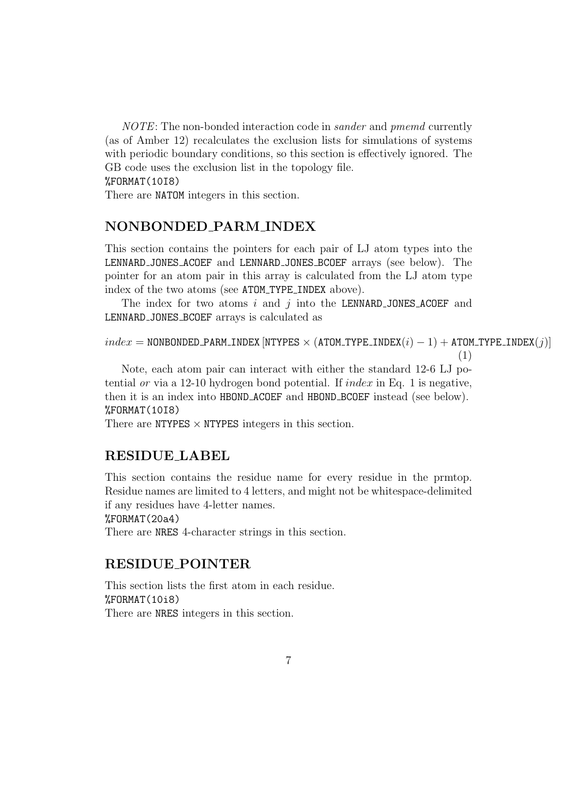NOTE: The non-bonded interaction code in sander and pmemd currently (as of Amber 12) recalculates the exclusion lists for simulations of systems with periodic boundary conditions, so this section is effectively ignored. The GB code uses the exclusion list in the topology file. %FORMAT(10I8)

There are NATOM integers in this section.

#### NONBONDED PARM INDEX

This section contains the pointers for each pair of LJ atom types into the LENNARD JONES ACOEF and LENNARD JONES BCOEF arrays (see below). The pointer for an atom pair in this array is calculated from the LJ atom type index of the two atoms (see ATOM\_TYPE\_INDEX above).

The index for two atoms i and j into the LENNARD JONES ACOEF and LENNARD JONES BCOEF arrays is calculated as

```
index = \texttt{NONBONDED\_PARM\_INDEX} [NTYPES \times (ATOM_TYPE_INDEX(i) - 1) + ATOM_TYPE_INDEX(j)]
```
(1)

```
Note, each atom pair can interact with either the standard 12-6 LJ po-
tential or via a 12-10 hydrogen bond potential. If index in Eq. 1 is negative,
then it is an index into HBOND ACOEF and HBOND BCOEF instead (see below).
%FORMAT(10I8)
```
There are NTYPES  $\times$  NTYPES integers in this section.

### RESIDUE LABEL

This section contains the residue name for every residue in the prmtop. Residue names are limited to 4 letters, and might not be whitespace-delimited if any residues have 4-letter names.

```
%FORMAT(20a4)
```
There are NRES 4-character strings in this section.

#### RESIDUE POINTER

This section lists the first atom in each residue. %FORMAT(10i8) There are NRES integers in this section.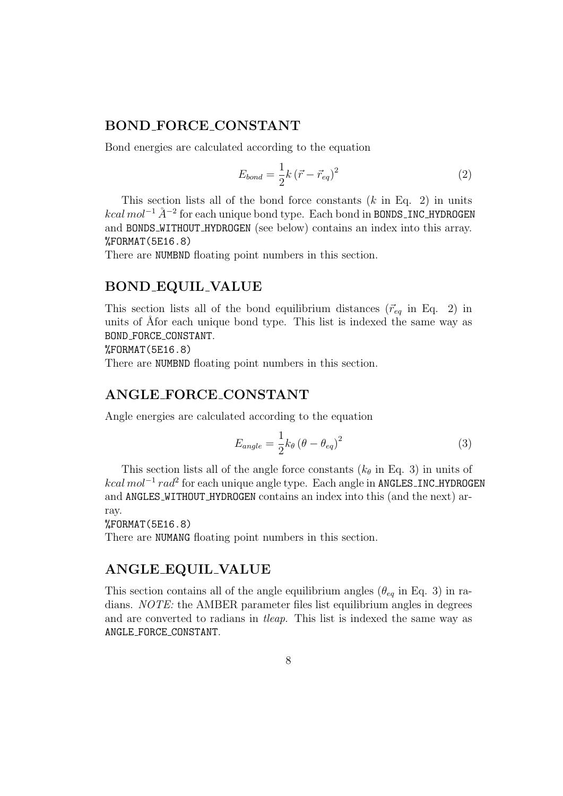### BOND FORCE CONSTANT

Bond energies are calculated according to the equation

$$
E_{bond} = \frac{1}{2}k\left(\vec{r} - \vec{r}_{eq}\right)^2\tag{2}
$$

This section lists all of the bond force constants  $(k \text{ in Eq. 2})$  in units  $kcal \, mol^{-1}$   $\AA^{-2}$  for each unique bond type. Each bond in BONDS\_INC\_HYDROGEN and BONDS WITHOUT HYDROGEN (see below) contains an index into this array. %FORMAT(5E16.8)

There are NUMBND floating point numbers in this section.

#### BOND EQUIL VALUE

This section lists all of the bond equilibrium distances  $(\vec{r}_{eq}$  in Eq. 2) in units of Åfor each unique bond type. This list is indexed the same way as BOND FORCE CONSTANT.

%FORMAT(5E16.8)

There are NUMBND floating point numbers in this section.

### ANGLE FORCE CONSTANT

Angle energies are calculated according to the equation

$$
E_{angle} = \frac{1}{2} k_{\theta} \left(\theta - \theta_{eq}\right)^2 \tag{3}
$$

This section lists all of the angle force constants  $(k_{\theta}$  in Eq. 3) in units of *kcal mol*<sup>-1</sup> rad<sup>2</sup> for each unique angle type. Each angle in ANGLES\_INC\_HYDROGEN and ANGLES WITHOUT HYDROGEN contains an index into this (and the next) array.

%FORMAT(5E16.8)

There are NUMANG floating point numbers in this section.

#### ANGLE EQUIL VALUE

This section contains all of the angle equilibrium angles ( $\theta_{eq}$  in Eq. 3) in radians. NOTE: the AMBER parameter files list equilibrium angles in degrees and are converted to radians in tleap. This list is indexed the same way as ANGLE FORCE CONSTANT.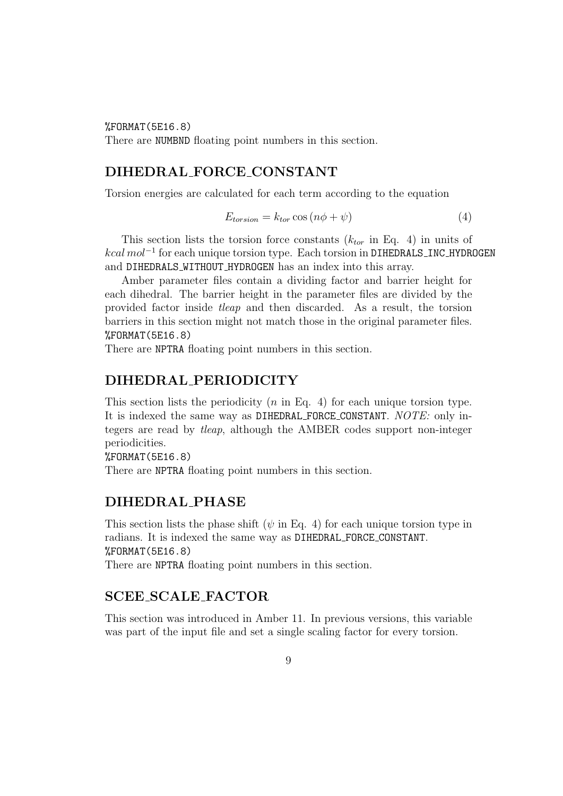%FORMAT(5E16.8)

There are NUMBND floating point numbers in this section.

#### DIHEDRAL FORCE CONSTANT

Torsion energies are calculated for each term according to the equation

$$
E_{torsion} = k_{tor} \cos(n\phi + \psi)
$$
\n<sup>(4)</sup>

This section lists the torsion force constants  $(k<sub>tor</sub>$  in Eq. 4) in units of *kcal mol*<sup>-1</sup> for each unique torsion type. Each torsion in DIHEDRALS\_INC\_HYDROGEN and DIHEDRALS WITHOUT HYDROGEN has an index into this array.

Amber parameter files contain a dividing factor and barrier height for each dihedral. The barrier height in the parameter files are divided by the provided factor inside tleap and then discarded. As a result, the torsion barriers in this section might not match those in the original parameter files. %FORMAT(5E16.8)

There are NPTRA floating point numbers in this section.

### DIHEDRAL PERIODICITY

This section lists the periodicity  $(n \text{ in Eq. 4})$  for each unique torsion type. It is indexed the same way as DIHEDRAL FORCE CONSTANT. NOTE: only integers are read by tleap, although the AMBER codes support non-integer periodicities.

%FORMAT(5E16.8) There are NPTRA floating point numbers in this section.

#### DIHEDRAL PHASE

This section lists the phase shift ( $\psi$  in Eq. 4) for each unique torsion type in radians. It is indexed the same way as DIHEDRAL FORCE CONSTANT. %FORMAT(5E16.8)

There are NPTRA floating point numbers in this section.

#### SCEE SCALE FACTOR

This section was introduced in Amber 11. In previous versions, this variable was part of the input file and set a single scaling factor for every torsion.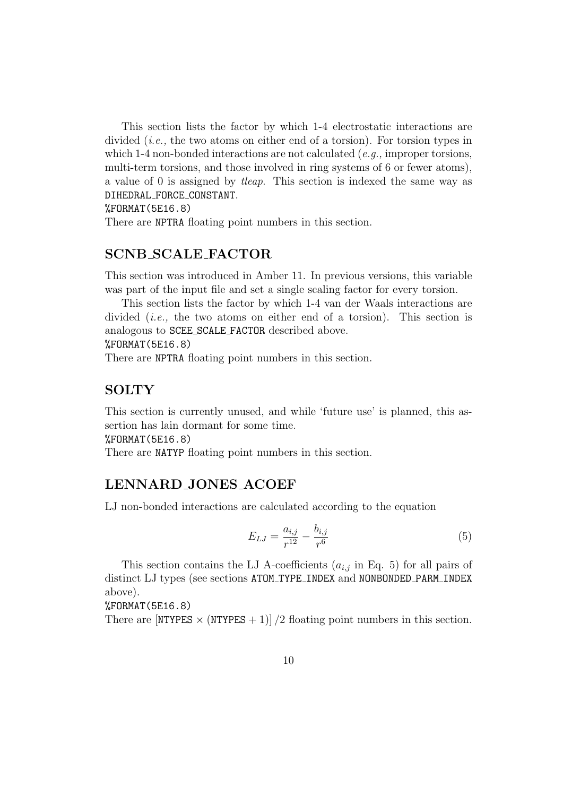This section lists the factor by which 1-4 electrostatic interactions are divided (i.e., the two atoms on either end of a torsion). For torsion types in which 1-4 non-bonded interactions are not calculated (e.g., improper torsions, multi-term torsions, and those involved in ring systems of 6 or fewer atoms), a value of 0 is assigned by tleap. This section is indexed the same way as DIHEDRAL FORCE CONSTANT.

#### %FORMAT(5E16.8)

There are NPTRA floating point numbers in this section.

### SCNB SCALE FACTOR

This section was introduced in Amber 11. In previous versions, this variable was part of the input file and set a single scaling factor for every torsion.

This section lists the factor by which 1-4 van der Waals interactions are divided (i.e., the two atoms on either end of a torsion). This section is analogous to SCEE SCALE FACTOR described above.

#### %FORMAT(5E16.8)

There are NPTRA floating point numbers in this section.

#### **SOLTY**

This section is currently unused, and while 'future use' is planned, this assertion has lain dormant for some time.

%FORMAT(5E16.8)

There are NATYP floating point numbers in this section.

### LENNARD JONES ACOEF

LJ non-bonded interactions are calculated according to the equation

$$
E_{LJ} = \frac{a_{i,j}}{r^{12}} - \frac{b_{i,j}}{r^6}
$$
 (5)

This section contains the LJ A-coefficients  $(a_{i,j}$  in Eq. 5) for all pairs of distinct LJ types (see sections ATOM\_TYPE\_INDEX and NONBONDED\_PARM\_INDEX above).

#### %FORMAT(5E16.8)

There are  $[NTYPES \times (NTYPES + 1)]/2$  floating point numbers in this section.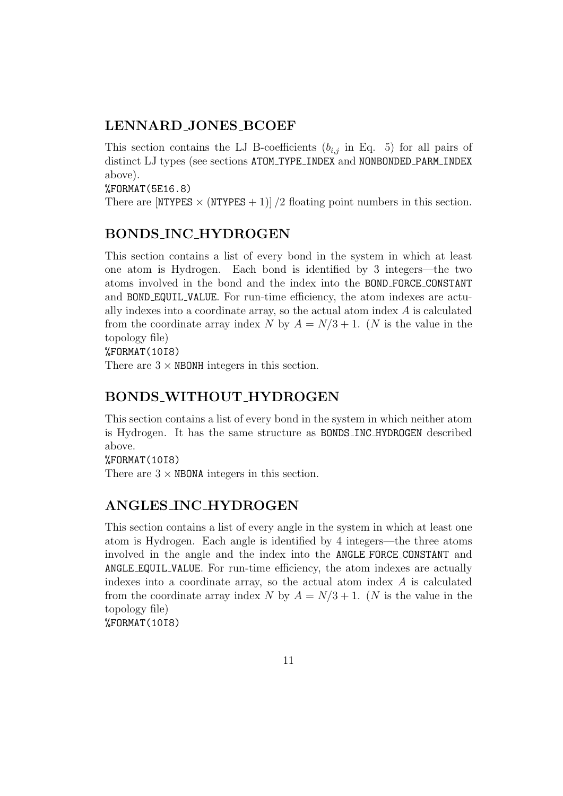### LENNARD JONES BCOEF

This section contains the LJ B-coefficients  $(b_{i,j}$  in Eq. 5) for all pairs of distinct LJ types (see sections ATOM\_TYPE\_INDEX and NONBONDED\_PARM\_INDEX above).

%FORMAT(5E16.8)

There are  $[NTYPES \times (NTYPES + 1)]/2$  floating point numbers in this section.

### BONDS INC HYDROGEN

This section contains a list of every bond in the system in which at least one atom is Hydrogen. Each bond is identified by 3 integers—the two atoms involved in the bond and the index into the BOND FORCE CONSTANT and BOND EQUIL VALUE. For run-time efficiency, the atom indexes are actually indexes into a coordinate array, so the actual atom index  $A$  is calculated from the coordinate array index N by  $A = N/3 + 1$ . (N is the value in the topology file)

%FORMAT(10I8)

There are  $3 \times$  NBONH integers in this section.

# BONDS WITHOUT HYDROGEN

This section contains a list of every bond in the system in which neither atom is Hydrogen. It has the same structure as BONDS INC HYDROGEN described above.

%FORMAT(10I8)

There are  $3 \times$  NBONA integers in this section.

### ANGLES INC HYDROGEN

This section contains a list of every angle in the system in which at least one atom is Hydrogen. Each angle is identified by 4 integers—the three atoms involved in the angle and the index into the ANGLE FORCE CONSTANT and ANGLE EQUIL VALUE. For run-time efficiency, the atom indexes are actually indexes into a coordinate array, so the actual atom index  $A$  is calculated from the coordinate array index N by  $A = N/3 + 1$ . (N is the value in the topology file) %FORMAT(10I8)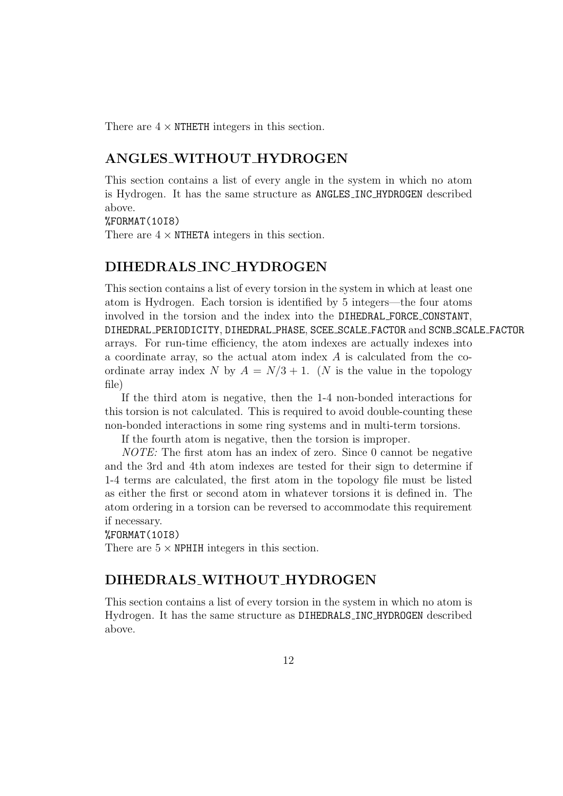There are  $4 \times$  NTHETH integers in this section.

### ANGLES WITHOUT HYDROGEN

This section contains a list of every angle in the system in which no atom is Hydrogen. It has the same structure as ANGLES INC HYDROGEN described above.

%FORMAT(10I8)

There are  $4 \times$  NTHETA integers in this section.

#### DIHEDRALS INC HYDROGEN

This section contains a list of every torsion in the system in which at least one atom is Hydrogen. Each torsion is identified by 5 integers—the four atoms involved in the torsion and the index into the DIHEDRAL FORCE CONSTANT, DIHEDRAL PERIODICITY, DIHEDRAL PHASE, SCEE SCALE FACTOR and SCNB SCALE FACTOR arrays. For run-time efficiency, the atom indexes are actually indexes into a coordinate array, so the actual atom index  $A$  is calculated from the coordinate array index N by  $A = N/3 + 1$ . (N is the value in the topology file)

If the third atom is negative, then the 1-4 non-bonded interactions for this torsion is not calculated. This is required to avoid double-counting these non-bonded interactions in some ring systems and in multi-term torsions.

If the fourth atom is negative, then the torsion is improper.

NOTE: The first atom has an index of zero. Since 0 cannot be negative and the 3rd and 4th atom indexes are tested for their sign to determine if 1-4 terms are calculated, the first atom in the topology file must be listed as either the first or second atom in whatever torsions it is defined in. The atom ordering in a torsion can be reversed to accommodate this requirement if necessary.

#### %FORMAT(10I8)

There are  $5 \times \text{NPHIH}$  integers in this section.

#### DIHEDRALS WITHOUT HYDROGEN

This section contains a list of every torsion in the system in which no atom is Hydrogen. It has the same structure as DIHEDRALS INC HYDROGEN described above.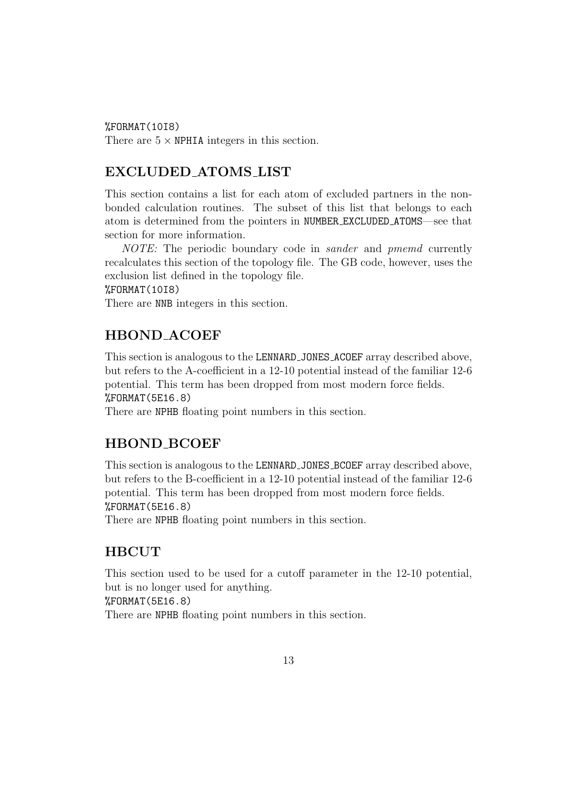%FORMAT(10I8)

There are  $5 \times \text{NPHIA}$  integers in this section.

### EXCLUDED ATOMS LIST

This section contains a list for each atom of excluded partners in the nonbonded calculation routines. The subset of this list that belongs to each atom is determined from the pointers in NUMBER EXCLUDED ATOMS—see that section for more information.

NOTE: The periodic boundary code in *sander* and *pmemd* currently recalculates this section of the topology file. The GB code, however, uses the exclusion list defined in the topology file.

#### %FORMAT(10I8)

There are NNB integers in this section.

### HBOND ACOEF

This section is analogous to the LENNARD JONES ACOEF array described above, but refers to the A-coefficient in a 12-10 potential instead of the familiar 12-6 potential. This term has been dropped from most modern force fields. %FORMAT(5E16.8)

There are NPHB floating point numbers in this section.

### HBOND BCOEF

This section is analogous to the LENNARD JONES BCOEF array described above, but refers to the B-coefficient in a 12-10 potential instead of the familiar 12-6 potential. This term has been dropped from most modern force fields. %FORMAT(5E16.8)

There are NPHB floating point numbers in this section.

### HBCUT

This section used to be used for a cutoff parameter in the 12-10 potential, but is no longer used for anything.

%FORMAT(5E16.8)

There are NPHB floating point numbers in this section.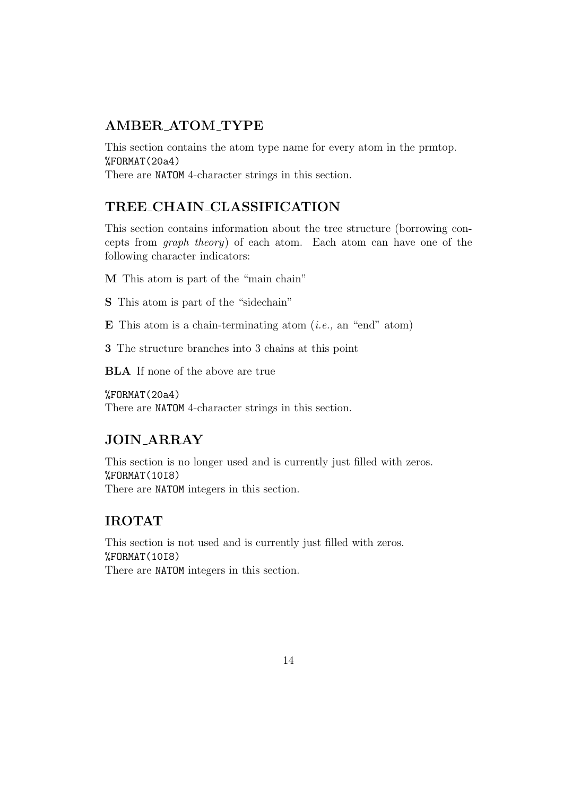# AMBER ATOM TYPE

This section contains the atom type name for every atom in the prmtop. %FORMAT(20a4) There are NATOM 4-character strings in this section.

TREE CHAIN CLASSIFICATION

This section contains information about the tree structure (borrowing concepts from graph theory) of each atom. Each atom can have one of the following character indicators:

M This atom is part of the "main chain"

S This atom is part of the "sidechain"

E This atom is a chain-terminating atom  $(i.e., an "end" atom)$ 

3 The structure branches into 3 chains at this point

BLA If none of the above are true

%FORMAT(20a4) There are NATOM 4-character strings in this section.

# JOIN ARRAY

This section is no longer used and is currently just filled with zeros. %FORMAT(10I8) There are NATOM integers in this section.

# IROTAT

This section is not used and is currently just filled with zeros. %FORMAT(10I8) There are NATOM integers in this section.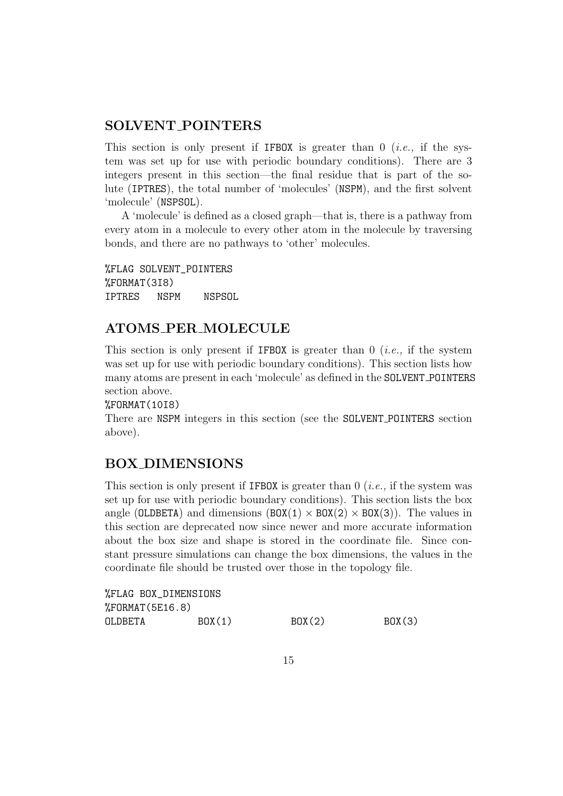### SOLVENT POINTERS

This section is only present if IFBOX is greater than  $0$  (*i.e.*, if the system was set up for use with periodic boundary conditions). There are 3 integers present in this section—the final residue that is part of the solute (IPTRES), the total number of 'molecules' (NSPM), and the first solvent 'molecule' (NSPSOL).

A 'molecule' is defined as a closed graph—that is, there is a pathway from every atom in a molecule to every other atom in the molecule by traversing bonds, and there are no pathways to 'other' molecules.

%FLAG SOLVENT\_POINTERS %FORMAT(3I8) IPTRES NSPM NSPSOL

# ATOMS PER MOLECULE

This section is only present if IFBOX is greater than  $0$  (*i.e.*, if the system was set up for use with periodic boundary conditions). This section lists how many atoms are present in each 'molecule' as defined in the SOLVENT POINTERS section above.

#### %FORMAT(10I8)

There are NSPM integers in this section (see the SOLVENT POINTERS section above).

### BOX DIMENSIONS

This section is only present if **IFBOX** is greater than  $0$  (*i.e.*, if the system was set up for use with periodic boundary conditions). This section lists the box angle (OLDBETA) and dimensions  $(BOX(1) \times BOX(2) \times BOX(3))$ . The values in this section are deprecated now since newer and more accurate information about the box size and shape is stored in the coordinate file. Since constant pressure simulations can change the box dimensions, the values in the coordinate file should be trusted over those in the topology file.

| %FLAG BOX_DIMENSIONS  |         |        |         |
|-----------------------|---------|--------|---------|
| $%$ FORMAT $(5E16.8)$ |         |        |         |
| OLDBETA               | BOX (1) | B0X(2) | BOX (3) |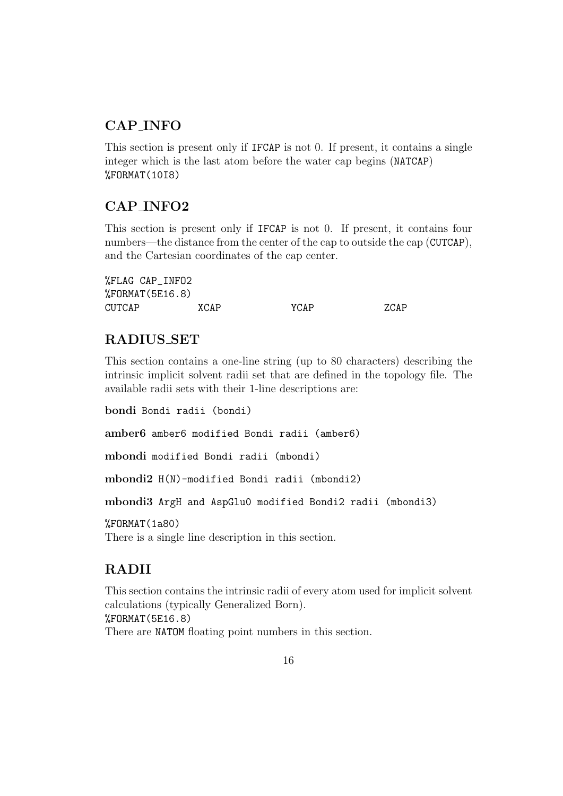# CAP INFO

This section is present only if IFCAP is not 0. If present, it contains a single integer which is the last atom before the water cap begins (NATCAP) %FORMAT(10I8)

# CAP INFO2

This section is present only if IFCAP is not 0. If present, it contains four numbers—the distance from the center of the cap to outside the cap (CUTCAP), and the Cartesian coordinates of the cap center.

%FLAG CAP\_INFO2 %FORMAT(5E16.8) CUTCAP XCAP YCAP ZCAP

# RADIUS SET

This section contains a one-line string (up to 80 characters) describing the intrinsic implicit solvent radii set that are defined in the topology file. The available radii sets with their 1-line descriptions are:

bondi Bondi radii (bondi)

amber6 amber6 modified Bondi radii (amber6)

mbondi modified Bondi radii (mbondi)

mbondi2 H(N)-modified Bondi radii (mbondi2)

mbondi3 ArgH and AspGlu0 modified Bondi2 radii (mbondi3)

%FORMAT(1a80)

There is a single line description in this section.

# RADII

This section contains the intrinsic radii of every atom used for implicit solvent calculations (typically Generalized Born). %FORMAT(5E16.8) There are NATOM floating point numbers in this section.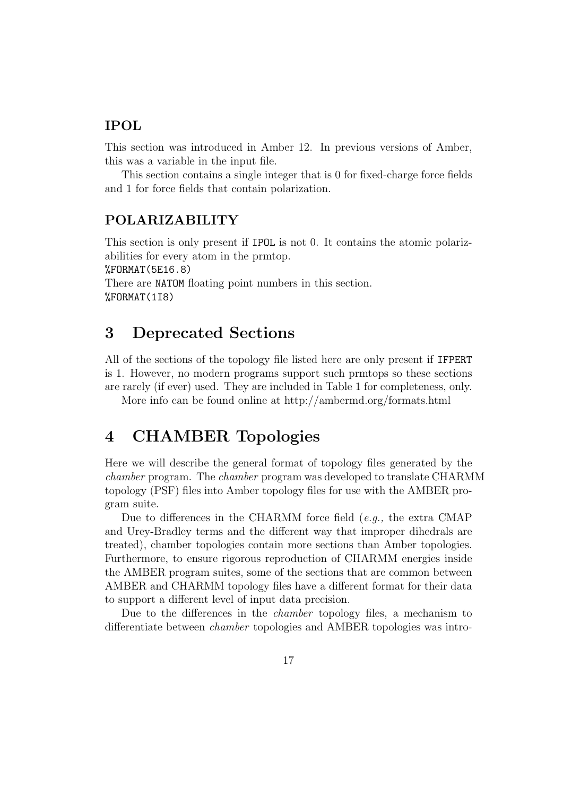### IPOL

This section was introduced in Amber 12. In previous versions of Amber, this was a variable in the input file.

This section contains a single integer that is 0 for fixed-charge force fields and 1 for force fields that contain polarization.

### POLARIZABILITY

This section is only present if IPOL is not 0. It contains the atomic polarizabilities for every atom in the prmtop. %FORMAT(5E16.8) There are NATOM floating point numbers in this section. %FORMAT(1I8)

# 3 Deprecated Sections

All of the sections of the topology file listed here are only present if IFPERT is 1. However, no modern programs support such prmtops so these sections are rarely (if ever) used. They are included in Table 1 for completeness, only.

More info can be found online at http://ambermd.org/formats.html

# 4 CHAMBER Topologies

Here we will describe the general format of topology files generated by the chamber program. The chamber program was developed to translate CHARMM topology (PSF) files into Amber topology files for use with the AMBER program suite.

Due to differences in the CHARMM force field (e.g., the extra CMAP and Urey-Bradley terms and the different way that improper dihedrals are treated), chamber topologies contain more sections than Amber topologies. Furthermore, to ensure rigorous reproduction of CHARMM energies inside the AMBER program suites, some of the sections that are common between AMBER and CHARMM topology files have a different format for their data to support a different level of input data precision.

Due to the differences in the chamber topology files, a mechanism to differentiate between chamber topologies and AMBER topologies was intro-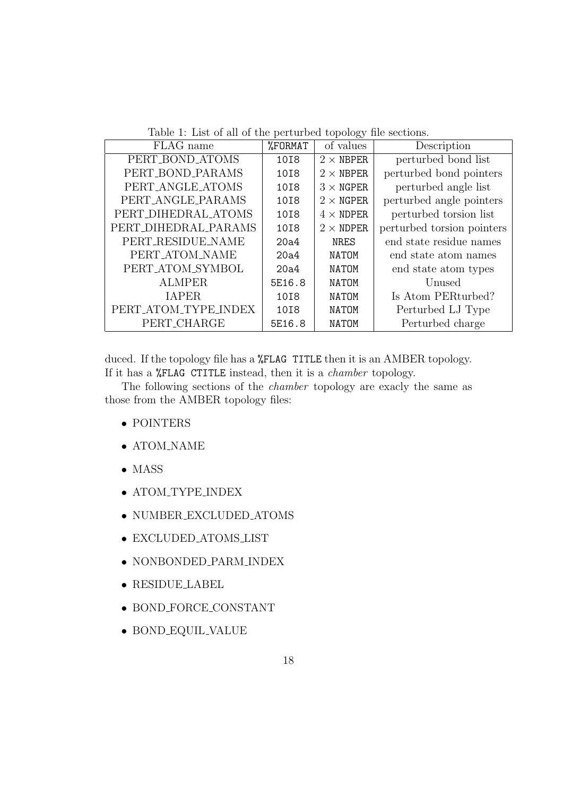Table 1: List of all of the perturbed topology file sections.

| FLAG name            | %FORMAT | of values        | Description                |
|----------------------|---------|------------------|----------------------------|
| PERT_BOND_ATOMS      | 1018    | $2 \times$ NBPER | perturbed bond list        |
| PERT_BOND_PARAMS     | 1018    | $2 \times$ NBPER | perturbed bond pointers    |
| PERT_ANGLE_ATOMS     | 1018    | $3 \times$ NGPER | perturbed angle list       |
| PERT_ANGLE_PARAMS    | 1018    | $2 \times$ NGPER | perturbed angle pointers   |
| PERT_DIHEDRAL_ATOMS  | 1018    | $4 \times$ NDPER | perturbed torsion list     |
| PERT_DIHEDRAL_PARAMS | 1018    | $2 \times$ NDPER | perturbed torsion pointers |
| PERT_RESIDUE_NAME    | 20a4    | NRES             | end state residue names    |
| PERT_ATOM_NAME       | 20a4    | <b>NATOM</b>     | end state atom names       |
| PERT_ATOM_SYMBOL     | 20a4    | <b>NATOM</b>     | end state atom types       |
| <b>ALMPER</b>        | 5E16.8  | <b>NATOM</b>     | Unused                     |
| <b>IAPER</b>         | 10I8    | NATOM            | Is Atom PERturbed?         |
| PERT_ATOM_TYPE_INDEX | 10I8    | <b>NATOM</b>     | Perturbed LJ Type          |
| PERT_CHARGE          | 5E16.8  | <b>NATOM</b>     | Perturbed charge           |

duced. If the topology file has a **%FLAG** TITLE then it is an AMBER topology. If it has a %FLAG CTITLE instead, then it is a chamber topology.

The following sections of the chamber topology are exacly the same as those from the AMBER topology files:

- POINTERS
- $\bullet$  ATOM\_NAME
- MASS
- ATOM\_TYPE\_INDEX
- NUMBER EXCLUDED ATOMS
- EXCLUDED ATOMS LIST
- NONBONDED PARM INDEX
- RESIDUE LABEL
- BOND FORCE CONSTANT
- BOND EQUIL VALUE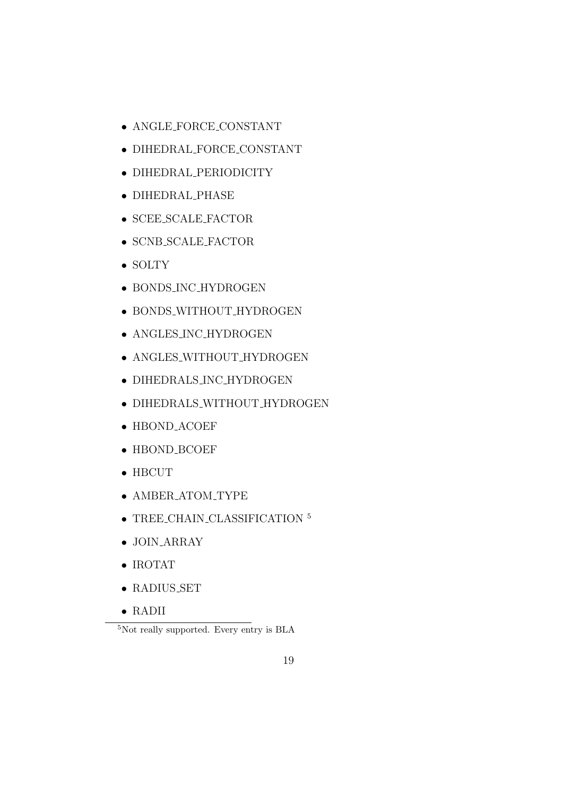- ANGLE FORCE CONSTANT
- DIHEDRAL FORCE CONSTANT
- DIHEDRAL PERIODICITY
- DIHEDRAL PHASE
- SCEE SCALE FACTOR
- SCNB SCALE FACTOR
- SOLTY
- BONDS INC HYDROGEN
- BONDS WITHOUT HYDROGEN
- ANGLES INC HYDROGEN
- ANGLES\_WITHOUT\_HYDROGEN
- DIHEDRALS INC HYDROGEN
- DIHEDRALS WITHOUT HYDROGEN
- HBOND ACOEF
- HBOND BCOEF
- HBCUT
- AMBER\_ATOM\_TYPE
- $\bullet$  TREE\_CHAIN\_CLASSIFICATION  $^5$
- JOIN ARRAY
- IROTAT
- RADIUS SET
- RADII

<sup>5</sup>Not really supported. Every entry is BLA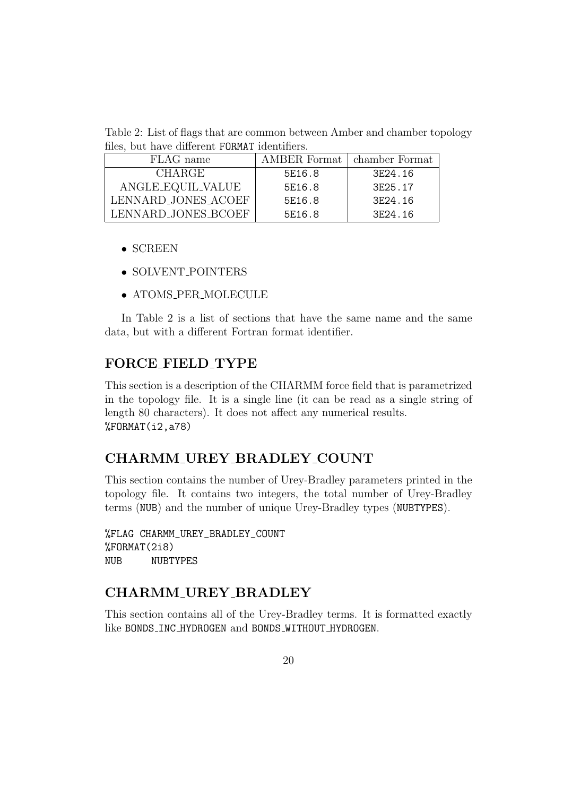Table 2: List of flags that are common between Amber and chamber topology files, but have different FORMAT identifiers.

| FLAG name           |        | AMBER Format   chamber Format |
|---------------------|--------|-------------------------------|
| <b>CHARGE</b>       | 5E16.8 | 3F <sub>24</sub> .16          |
| ANGLE_EQUIL_VALUE   | 5E16.8 | 3E25.17                       |
| LENNARD_JONES_ACOEF | 5E16.8 | 3E24.16                       |
| LENNARD_JONES_BCOEF | 5E16.8 | 3F24.16                       |

- SCREEN
- SOLVENT POINTERS
- ATOMS PER MOLECULE

In Table 2 is a list of sections that have the same name and the same data, but with a different Fortran format identifier.

### FORCE FIELD TYPE

This section is a description of the CHARMM force field that is parametrized in the topology file. It is a single line (it can be read as a single string of length 80 characters). It does not affect any numerical results. %FORMAT(i2,a78)

# CHARMM UREY BRADLEY COUNT

This section contains the number of Urey-Bradley parameters printed in the topology file. It contains two integers, the total number of Urey-Bradley terms (NUB) and the number of unique Urey-Bradley types (NUBTYPES).

%FLAG CHARMM\_UREY\_BRADLEY\_COUNT %FORMAT(2i8) NUB NUBTYPES

# CHARMM UREY BRADLEY

This section contains all of the Urey-Bradley terms. It is formatted exactly like BONDS\_INC\_HYDROGEN and BONDS\_WITHOUT\_HYDROGEN.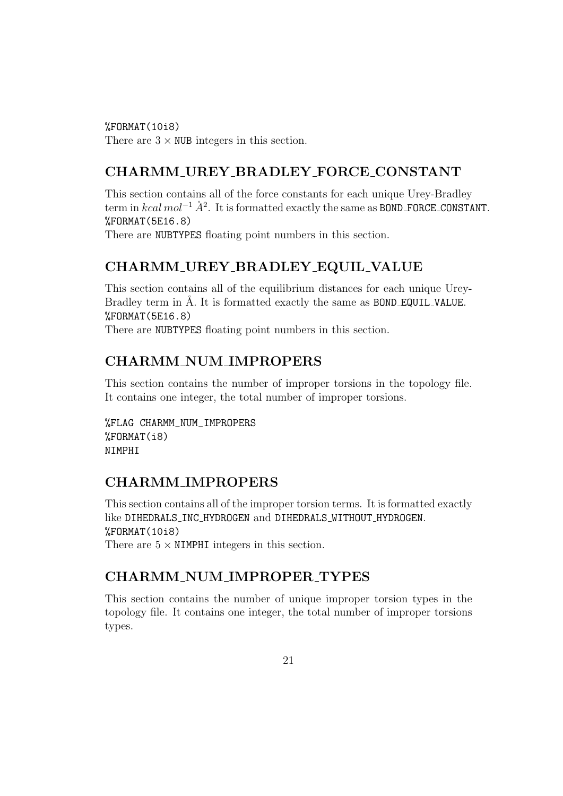%FORMAT(10i8) There are  $3 \times$  NUB integers in this section.

# CHARMM UREY BRADLEY FORCE CONSTANT

This section contains all of the force constants for each unique Urey-Bradley term in  $kcal \ mol$ <sup>-1</sup>  $\AA$ <sup>2</sup>. It is formatted exactly the same as BOND\_FORCE\_CONSTANT. %FORMAT(5E16.8)

There are NUBTYPES floating point numbers in this section.

# CHARMM UREY BRADLEY EQUIL VALUE

This section contains all of the equilibrium distances for each unique Urey-Bradley term in Å. It is formatted exactly the same as **BOND\_EQUIL\_VALUE.** %FORMAT(5E16.8)

There are NUBTYPES floating point numbers in this section.

# CHARMM NUM IMPROPERS

This section contains the number of improper torsions in the topology file. It contains one integer, the total number of improper torsions.

%FLAG CHARMM\_NUM\_IMPROPERS %FORMAT(i8) NIMPHI

# CHARMM IMPROPERS

This section contains all of the improper torsion terms. It is formatted exactly like DIHEDRALS INC HYDROGEN and DIHEDRALS WITHOUT HYDROGEN. %FORMAT(10i8) There are  $5 \times$  NIMPHI integers in this section.

# CHARMM NUM IMPROPER TYPES

This section contains the number of unique improper torsion types in the topology file. It contains one integer, the total number of improper torsions types.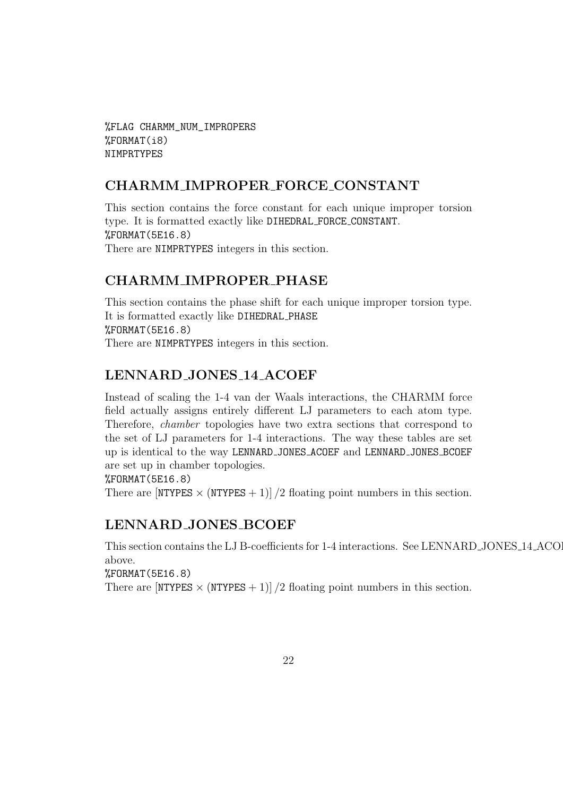%FLAG CHARMM\_NUM\_IMPROPERS %FORMAT(i8) NIMPRTYPES

### CHARMM IMPROPER FORCE CONSTANT

This section contains the force constant for each unique improper torsion type. It is formatted exactly like DIHEDRAL FORCE CONSTANT. %FORMAT(5E16.8) There are NIMPRTYPES integers in this section.

# CHARMM IMPROPER PHASE

This section contains the phase shift for each unique improper torsion type. It is formatted exactly like DIHEDRAL PHASE %FORMAT(5E16.8) There are NIMPRTYPES integers in this section.

# LENNARD JONES 14 ACOEF

Instead of scaling the 1-4 van der Waals interactions, the CHARMM force field actually assigns entirely different LJ parameters to each atom type. Therefore, chamber topologies have two extra sections that correspond to the set of LJ parameters for 1-4 interactions. The way these tables are set up is identical to the way LENNARD JONES ACOEF and LENNARD JONES BCOEF are set up in chamber topologies.

%FORMAT(5E16.8)

There are  $[NTYPES \times (NTYPES + 1)]/2$  floating point numbers in this section.

# LENNARD JONES BCOEF

This section contains the LJ B-coefficients for 1-4 interactions. See LENNARD\_JONES\_14\_ACO above.

%FORMAT(5E16.8)

There are  $[NTYPES \times (NTYPES + 1)]/2$  floating point numbers in this section.